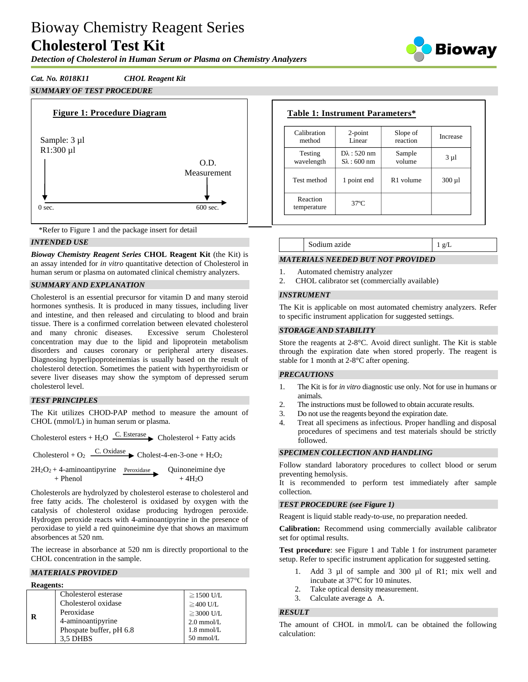# Bioway Chemistry Reagent Series **Cholesterol Test Kit**

*Detection of Cholesterol in Human Serum or Plasma on Chemistry Analyzers*



### *Cat. No. R018K11 CHOL Reagent Kit SUMMARY OF TEST PROCEDURE*



\*Refer to Figure 1 and the package insert for detail

## *INTENDED USE*

*Bioway Chemistry Reagent Series* **CHOL Reagent Kit** (the Kit) is an assay intended for *in vitro* quantitative detection of Cholesterol in human serum or plasma on automated clinical chemistry analyzers.

### *SUMMARY AND EXPLANATION*

Cholesterol is an essential precursor for vitamin D and many steroid hormones synthesis. It is produced in many tissues, including liver and intestine, and then released and circulating to blood and brain tissue. There is a confirmed correlation between elevated cholesterol and many chronic diseases. Excessive serum Cholesterol concentration may due to the lipid and lipoprotein metabolism disorders and causes coronary or peripheral artery diseases. Diagnosing hyperlipoproteinemias is usually based on the result of cholesterol detection. Sometimes the patient with hyperthyroidism or severe liver diseases may show the symptom of depressed serum cholesterol level.

#### *TEST PRINCIPLES*

The Kit utilizes CHOD-PAP method to measure the amount of CHOL (mmol/L) in human serum or plasma.

Cholesterol esters + H<sub>2</sub>O  $\frac{\text{C. Esterase}}{\text{C.}}$  Cholesterol + Fatty acids

Cholesterol + O<sub>2</sub>  $\frac{\text{C. Oxidase}}{\text{C.} \text{~}}$  Cholest-4-en-3-one + H<sub>2</sub>O<sub>2</sub>

 $2H_2O_2 + 4$ -aminoantipyrine Peroxidase Quinoneimine dye  $+$  Phenol  $+$  4H<sub>2</sub>O

Cholesterols are hydrolyzed by cholesterol esterase to cholesterol and free fatty acids. The cholesterol is oxidased by oxygen with the catalysis of cholesterol oxidase producing hydrogen peroxide. Hydrogen peroxide reacts with 4-aminoantipyrine in the presence of peroxidase to yield a red quinoneimine dye that shows an maximum absorbences at 520 nm.

The iecrease in absorbance at 520 nm is directly proportional to the CHOL concentration in the sample.

#### *MATERIALS PROVIDED*

| <b>Reagents:</b> |                         |                     |  |
|------------------|-------------------------|---------------------|--|
|                  | Cholesterol esterase    | $\geq$ 1500 U/L     |  |
|                  | Cholesterol oxidase     | $\geq$ 400 U/L      |  |
|                  | Peroxidase              | $\geq$ 3000 U/L     |  |
|                  | 4-aminoantipyrine       | $2.0$ mmol/L        |  |
|                  | Phospate buffer, pH 6.8 | $1.8$ mmol/L        |  |
|                  | 3.5 DHBS                | $50 \text{ mmol/L}$ |  |

# **Table 1: Instrument Parameters\***

| Calibration             | $2$ -point             | Slope of              | Increase    |
|-------------------------|------------------------|-----------------------|-------------|
| method                  | Linear                 | reaction              |             |
| Testing                 | $D\lambda$ : 520 nm    | Sample                | $3 \mu l$   |
| wavelength              | $S_{\lambda}$ : 600 nm | volume                |             |
| Test method             | 1 point end            | R <sub>1</sub> volume | $300 \mu l$ |
| Reaction<br>temperature | $37^{\circ}$ C         |                       |             |

Sodium azide 1 g/L

# *MATERIALS NEEDED BUT NOT PROVIDED*

- 1. Automated chemistry analyzer
- 2. CHOL calibrator set (commercially available)

#### *INSTRUMENT*

The Kit is applicable on most automated chemistry analyzers. Refer to specific instrument application for suggested settings.

#### *STORAGE AND STABILITY*

Store the reagents at 2-8°C. Avoid direct sunlight. The Kit is stable through the expiration date when stored properly. The reagent is stable for 1 month at 2-8°C after opening.

#### *PRECAUTIONS*

- 1. The Kit is for *in vitro* diagnostic use only. Not for use in humans or animals.
- 2. The instructions must be followed to obtain accurate results.
- 3. Do not use the reagents beyond the expiration date.
- 4. Treat all specimens as infectious. Proper handling and disposal procedures of specimens and test materials should be strictly followed.

#### *SPECIMEN COLLECTION AND HANDLING*

Follow standard laboratory procedures to collect blood or serum preventing hemolysis.

It is recommended to perform test immediately after sample collection.

#### *TEST PROCEDURE (see Figure 1)*

Reagent is liquid stable ready-to-use, no preparation needed.

**Calibration:** Recommend using commercially available calibrator set for optimal results.

**Test procedure**: see Figure 1 and Table 1 for instrument parameter setup. Refer to specific instrument application for suggested setting.

- 1. Add 3 µl of sample and 300 µl of R1; mix well and incubate at 37°C for 10 minutes.
- 2. Take optical density measurement.
- 3. Calculate average  $\triangle$  A.

#### *RESULT*

The amount of CHOL in mmol/L can be obtained the following calculation: